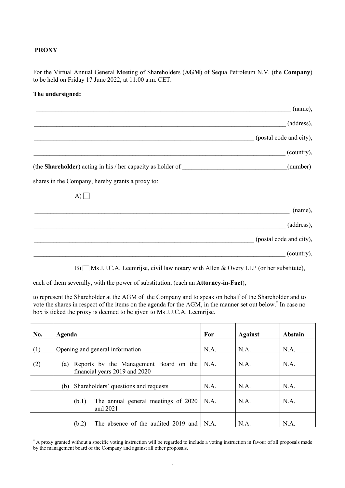## **PROXY**

For the Virtual Annual General Meeting of Shareholders (**AGM**) of Sequa Petroleum N.V. (the **Company**) to be held on Friday 17 June 2022, at 11:00 a.m. CET.

## **The undersigned:**

|                                                                     | (name),                 |
|---------------------------------------------------------------------|-------------------------|
|                                                                     | (address),              |
|                                                                     | (postal code and city), |
|                                                                     | (country),              |
| (the <b>Shareholder</b> ) acting in his / her capacity as holder of | (number)                |
| shares in the Company, hereby grants a proxy to:                    |                         |
| $A$ )                                                               |                         |
|                                                                     | (name),                 |
|                                                                     | (address),              |
|                                                                     | (postal code and city), |
|                                                                     | (country),              |

B)  $\Box$  Ms J.J.C.A. Leemrijse, civil law notary with Allen & Overy LLP (or her substitute),

each of them severally, with the power of substitution, (each an **Attorney-in-Fact**),

to represent the Shareholder at the AGM of the Company and to speak on behalf of the Shareholder and to vote the shares in respect of the items on the agenda for the AGM, in the manner set out below.\* In case no box is ticked the proxy is deemed to be given to Ms J.J.C.A. Leemrijse.

| No. | Agenda                                                                         | For  | <b>Against</b> | Abstain |
|-----|--------------------------------------------------------------------------------|------|----------------|---------|
| (1) | Opening and general information                                                | N.A. | N.A.           | N.A.    |
| (2) | Reports by the Management Board on the<br>(a)<br>financial years 2019 and 2020 | N.A. | N.A.           | N.A.    |
|     | Shareholders' questions and requests<br>(b)                                    | N.A. | N.A.           | N.A.    |
|     | The annual general meetings of 2020<br>(b.1)<br>and 2021                       | N.A. | N.A.           | N.A.    |
|     | The absence of the audited 2019 and<br>(b.2)                                   | N.A. | N.A.           | N.A.    |

<sup>\*</sup> A proxy granted without a specific voting instruction will be regarded to include a voting instruction in favour of all proposals made by the management board of the Company and against all other proposals.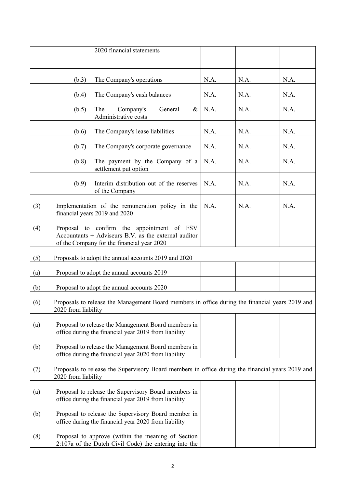|                                                                                                                               | 2020 financial statements                                                                                                                          |      |      |      |
|-------------------------------------------------------------------------------------------------------------------------------|----------------------------------------------------------------------------------------------------------------------------------------------------|------|------|------|
|                                                                                                                               | (b.3)<br>The Company's operations                                                                                                                  | N.A. | N.A. | N.A. |
|                                                                                                                               | (b.4)<br>The Company's cash balances                                                                                                               | N.A. | N.A. | N.A. |
|                                                                                                                               | (b.5)<br>The<br>Company's<br>General<br>&<br>Administrative costs                                                                                  | N.A. | N.A. | N.A. |
|                                                                                                                               | (b.6)<br>The Company's lease liabilities                                                                                                           | N.A. | N.A. | N.A. |
|                                                                                                                               | The Company's corporate governance<br>(b.7)                                                                                                        | N.A. | N.A. | N.A. |
|                                                                                                                               | (b.8)<br>The payment by the Company of a<br>settlement put option                                                                                  | N.A. | N.A. | N.A. |
|                                                                                                                               | Interim distribution out of the reserves<br>(b.9)<br>of the Company                                                                                | N.A. | N.A. | N.A. |
| (3)                                                                                                                           | Implementation of the remuneration policy in the<br>financial years 2019 and 2020                                                                  | N.A. | N.A. | N.A. |
| (4)                                                                                                                           | Proposal to confirm the appointment of FSV<br>Accountants $+$ Adviseurs B.V. as the external auditor<br>of the Company for the financial year 2020 |      |      |      |
| (5)                                                                                                                           | Proposals to adopt the annual accounts 2019 and 2020                                                                                               |      |      |      |
| (a)                                                                                                                           | Proposal to adopt the annual accounts 2019                                                                                                         |      |      |      |
| (b)                                                                                                                           | Proposal to adopt the annual accounts 2020                                                                                                         |      |      |      |
| Proposals to release the Management Board members in office during the financial years 2019 and<br>(6)<br>2020 from liability |                                                                                                                                                    |      |      |      |
| (a)                                                                                                                           | Proposal to release the Management Board members in<br>office during the financial year 2019 from liability                                        |      |      |      |
| (b)                                                                                                                           | Proposal to release the Management Board members in<br>office during the financial year 2020 from liability                                        |      |      |      |
| (7)                                                                                                                           | Proposals to release the Supervisory Board members in office during the financial years 2019 and<br>2020 from liability                            |      |      |      |
| (a)                                                                                                                           | Proposal to release the Supervisory Board members in<br>office during the financial year 2019 from liability                                       |      |      |      |
| (b)                                                                                                                           | Proposal to release the Supervisory Board member in<br>office during the financial year 2020 from liability                                        |      |      |      |
| (8)                                                                                                                           | Proposal to approve (within the meaning of Section<br>2:107a of the Dutch Civil Code) the entering into the                                        |      |      |      |